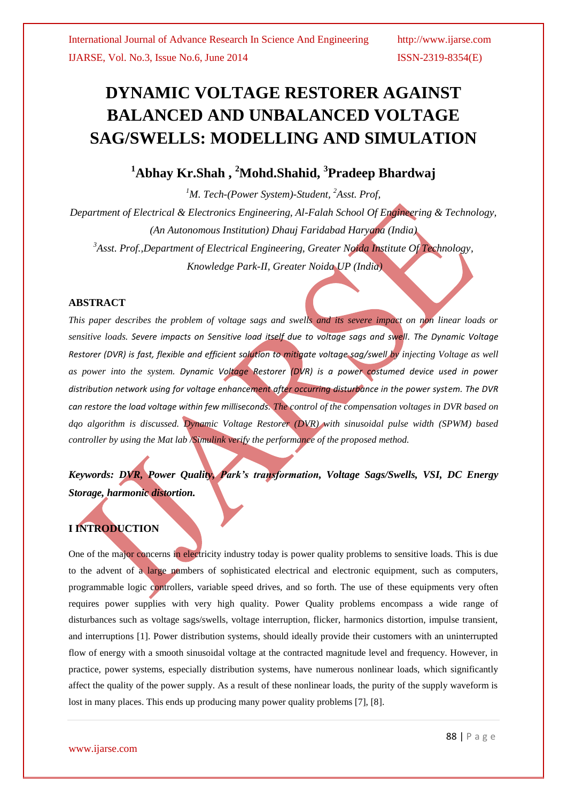# **DYNAMIC VOLTAGE RESTORER AGAINST BALANCED AND UNBALANCED VOLTAGE SAG/SWELLS: MODELLING AND SIMULATION**

# **<sup>1</sup>Abhay Kr.Shah , <sup>2</sup>Mohd.Shahid, <sup>3</sup> Pradeep Bhardwaj**

*<sup>1</sup>M. Tech-(Power System)-Student, <sup>2</sup>Asst. Prof, Department of Electrical & Electronics Engineering, Al-Falah School Of Engineering & Technology, (An Autonomous Institution) Dhauj Faridabad Haryana (India) <sup>3</sup>Asst. Prof.,Department of Electrical Engineering, Greater Noida Institute Of Technology, Knowledge Park-II, Greater Noida UP (India)*

### **ABSTRACT**

*This paper describes the problem of voltage sags and swells and its severe impact on non linear loads or sensitive loads. Severe impacts on Sensitive load itself due to voltage sags and swell. The Dynamic Voltage Restorer (DVR) is fast, flexible and efficient solution to mitigate voltage sag/swell by injecting Voltage as well as power into the system. Dynamic Voltage Restorer (DVR) is a power costumed device used in power distribution network using for voltage enhancement after occurring disturbance in the power system. The DVR can restore the load voltage within few milliseconds. The control of the compensation voltages in DVR based on dqo algorithm is discussed. Dynamic Voltage Restorer (DVR) with sinusoidal pulse width (SPWM) based controller by using the Mat lab /Simulink verify the performance of the proposed method.*

*Keywords: DVR, Power Quality, Park's transformation, Voltage Sags/Swells, VSI, DC Energy Storage, harmonic distortion.*

# **I INTRODUCTION**

One of the major concerns in electricity industry today is power quality problems to sensitive loads. This is due to the advent of a large numbers of sophisticated electrical and electronic equipment, such as computers, programmable logic controllers, variable speed drives, and so forth. The use of these equipments very often requires power supplies with very high quality. Power Quality problems encompass a wide range of disturbances such as voltage sags/swells, voltage interruption, flicker, harmonics distortion, impulse transient, and interruptions [1]. Power distribution systems, should ideally provide their customers with an uninterrupted flow of energy with a smooth sinusoidal voltage at the contracted magnitude level and frequency. However, in practice, power systems, especially distribution systems, have numerous nonlinear loads, which significantly affect the quality of the power supply. As a result of these nonlinear loads, the purity of the supply waveform is lost in many places. This ends up producing many power quality problems [7], [8].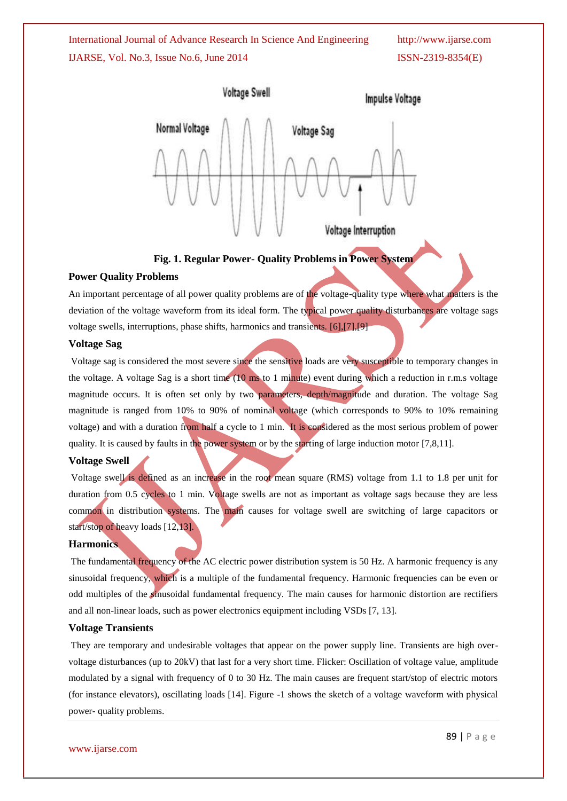

**Fig. 1. Regular Power- Quality Problems in Power System**

#### **Power Quality Problems**

An important percentage of all power quality problems are of the voltage-quality type where what matters is the deviation of the voltage waveform from its ideal form. The typical power quality disturbances are voltage sags voltage swells, interruptions, phase shifts, harmonics and transients. [6],[7],[9]

#### **Voltage Sag**

Voltage sag is considered the most severe since the sensitive loads are very susceptible to temporary changes in the voltage. A voltage Sag is a short time (10 ms to 1 minute) event during which a reduction in r.m.s voltage magnitude occurs. It is often set only by two parameters, depth/magnitude and duration. The voltage Sag magnitude is ranged from 10% to 90% of nominal voltage (which corresponds to 90% to 10% remaining voltage) and with a duration from half a cycle to 1 min. It is considered as the most serious problem of power quality. It is caused by faults in the power system or by the starting of large induction motor [7,8,11].

#### **Voltage Swell**

Voltage swell is defined as an increase in the root mean square (RMS) voltage from 1.1 to 1.8 per unit for duration from 0.5 cycles to 1 min. Voltage swells are not as important as voltage sags because they are less common in distribution systems. The main causes for voltage swell are switching of large capacitors or start/stop of heavy loads [12,13].

#### **Harmonics**

The fundamental frequency of the AC electric power distribution system is 50 Hz. A harmonic frequency is any sinusoidal frequency, which is a multiple of the fundamental frequency. Harmonic frequencies can be even or odd multiples of the sinusoidal fundamental frequency. The main causes for harmonic distortion are rectifiers and all non-linear loads, such as power electronics equipment including VSDs [7, 13].

#### **Voltage Transients**

They are temporary and undesirable voltages that appear on the power supply line. Transients are high overvoltage disturbances (up to 20kV) that last for a very short time. Flicker: Oscillation of voltage value, amplitude modulated by a signal with frequency of 0 to 30 Hz. The main causes are frequent start/stop of electric motors (for instance elevators), oscillating loads [14]. Figure -1 shows the sketch of a voltage waveform with physical power- quality problems.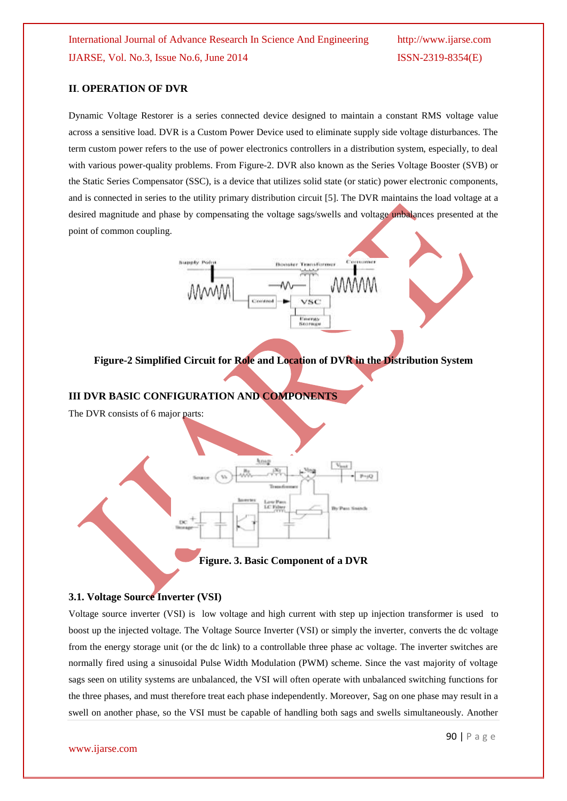### **II**. **OPERATION OF DVR**

Dynamic Voltage Restorer is a series connected device designed to maintain a constant RMS voltage value across a sensitive load. DVR is a Custom Power Device used to eliminate supply side voltage disturbances. The term custom power refers to the use of power electronics controllers in a distribution system, especially, to deal with various power-quality problems. From Figure-2. DVR also known as the Series Voltage Booster (SVB) or the Static Series Compensator (SSC), is a device that utilizes solid state (or static) power electronic components, and is connected in series to the utility primary distribution circuit [5]. The DVR maintains the load voltage at a desired magnitude and phase by compensating the voltage sags/swells and voltage unbalances presented at the point of common coupling.



**Figure-2 Simplified Circuit for Role and Location of DVR in the Distribution System**

#### **III DVR BASIC CONFIGURATION AND COMPONENTS**

The DVR consists of 6 major parts:



**Figure. 3. Basic Component of a DVR**

#### **3.1. Voltage Source Inverter (VSI)**

Voltage source inverter (VSI) is low voltage and high current with step up injection transformer is used to boost up the injected voltage. The Voltage Source Inverter (VSI) or simply the inverter, converts the dc voltage from the energy storage unit (or the dc link) to a controllable three phase ac voltage. The inverter switches are normally fired using a sinusoidal Pulse Width Modulation (PWM) scheme. Since the vast majority of voltage sags seen on utility systems are unbalanced, the VSI will often operate with unbalanced switching functions for the three phases, and must therefore treat each phase independently. Moreover, Sag on one phase may result in a swell on another phase, so the VSI must be capable of handling both sags and swells simultaneously. Another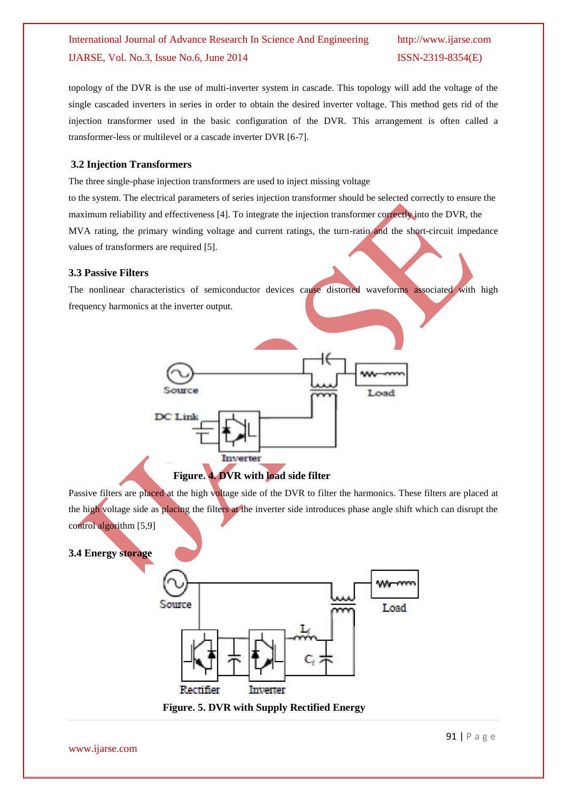topology of the DVR is the use of multi-inverter system in cascade. This topology will add the voltage of the single cascaded inverters in series in order to obtain the desired inverter voltage. This method gets rid of the injection transformer used in the basic configuration of the DVR. This arrangement is often called a transformer-less or multilevel or a cascade inverter DVR [6-7].

### **3.2 Injection Transformers**

The three single-phase injection transformers are used to inject missing voltage

to the system. The electrical parameters of series injection transformer should be selected correctly to ensure the maximum reliability and effectiveness [4]. To integrate the injection transformer correctly into the DVR, the MVA rating, the primary winding voltage and current ratings, the turn-ratio and the short-circuit impedance values of transformers are required [5].

### **3.3 Passive Filters**

The nonlinear characteristics of semiconductor devices cause distorted waveforms associated with high frequency harmonics at the inverter output.









 **Figure. 5. DVR with Supply Rectified Energy**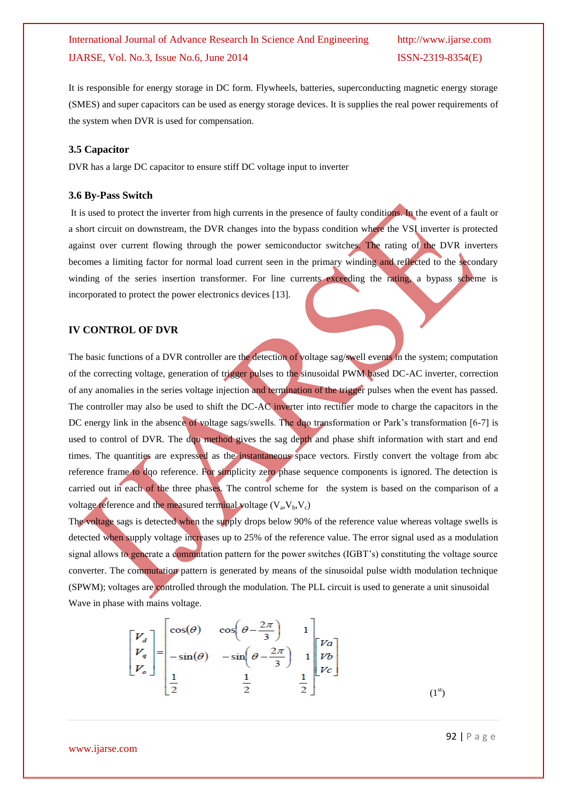It is responsible for energy storage in DC form. Flywheels, batteries, superconducting magnetic energy storage (SMES) and super capacitors can be used as energy storage devices. It is supplies the real power requirements of the system when DVR is used for compensation.

#### **3.5 Capacitor**

DVR has a large DC capacitor to ensure stiff DC voltage input to inverter

#### **3.6 By-Pass Switch**

It is used to protect the inverter from high currents in the presence of faulty conditions. In the event of a fault or a short circuit on downstream, the DVR changes into the bypass condition where the VSI inverter is protected against over current flowing through the power semiconductor switches. The rating of the DVR inverters becomes a limiting factor for normal load current seen in the primary winding and reflected to the secondary winding of the series insertion transformer. For line currents exceeding the rating, a bypass scheme is incorporated to protect the power electronics devices [13].

#### **IV CONTROL OF DVR**

The basic functions of a DVR controller are the detection of voltage sag/swell events in the system; computation of the correcting voltage, generation of trigger pulses to the sinusoidal PWM based DC-AC inverter, correction of any anomalies in the series voltage injection and termination of the trigger pulses when the event has passed. The controller may also be used to shift the DC-AC inverter into rectifier mode to charge the capacitors in the DC energy link in the absence of voltage sags/swells. The dqo transformation or Park's transformation [6-7] is used to control of DVR. The doo method gives the sag depth and phase shift information with start and end times. The quantities are expressed as the instantaneous space vectors. Firstly convert the voltage from abc reference frame to dqo reference. For simplicity zero phase sequence components is ignored. The detection is carried out in each of the three phases. The control scheme forthe system is based on the comparison of a voltage reference and the measured terminal voltage  $(V_a, V_b, V_c)$ 

The voltage sags is detected when the supply drops below 90% of the reference value whereas voltage swells is detected when supply voltage increases up to 25% of the reference value. The error signal used as a modulation signal allows to generate a commutation pattern for the power switches (IGBT's) constituting the voltage source converter. The commutation pattern is generated by means of the sinusoidal pulse width modulation technique (SPWM); voltages are controlled through the modulation. The PLL circuit is used to generate a unit sinusoidal Wave in phase with mains voltage.

$$
\begin{bmatrix} V_d \\ V_q \\ V_o \end{bmatrix} = \begin{bmatrix} \cos(\theta) & \cos\left(\theta - \frac{2\pi}{3}\right) & 1 \\ -\sin(\theta) & -\sin\left(\theta - \frac{2\pi}{3}\right) & 1 \\ \frac{1}{2} & \frac{1}{2} & \frac{1}{2} \end{bmatrix} \begin{bmatrix} V_a \\ V_b \\ V_c \end{bmatrix}
$$
 (1<sup>st</sup>)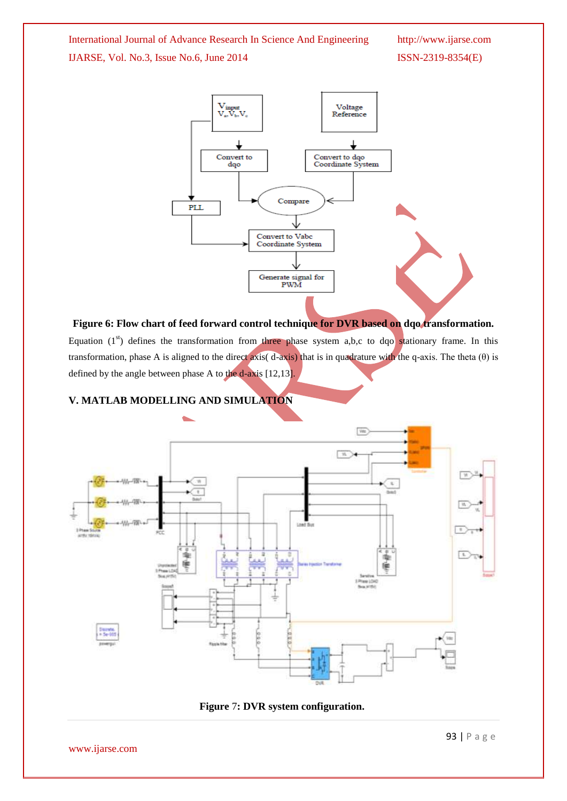

# **Figure 6: Flow chart of feed forward control technique for DVR based on dqo transformation.**

Equation  $(1^{st})$  defines the transformation from three phase system a,b,c to dqo stationary frame. In this transformation, phase A is aligned to the direct axis( d-axis) that is in quadrature with the q-axis. The theta  $(\theta)$  is defined by the angle between phase A to the d-axis [12,13].

## **V. MATLAB MODELLING AND SIMULATION**



 **Figure** 7**: DVR system configuration.**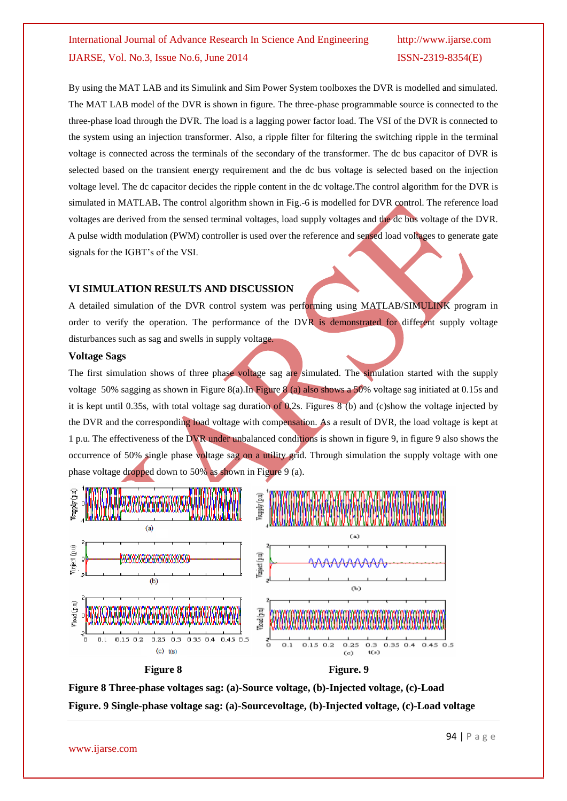By using the MAT LAB and its Simulink and Sim Power System toolboxes the DVR is modelled and simulated. The MAT LAB model of the DVR is shown in figure. The three-phase programmable source is connected to the three-phase load through the DVR. The load is a lagging power factor load. The VSI of the DVR is connected to the system using an injection transformer. Also, a ripple filter for filtering the switching ripple in the terminal voltage is connected across the terminals of the secondary of the transformer. The dc bus capacitor of DVR is selected based on the transient energy requirement and the dc bus voltage is selected based on the injection voltage level. The dc capacitor decides the ripple content in the dc voltage.The control algorithm for the DVR is simulated in MATLAB**.** The control algorithm shown in Fig.-6 is modelled for DVR control. The reference load voltages are derived from the sensed terminal voltages, load supply voltages and the dc bus voltage of the DVR. A pulse width modulation (PWM) controller is used over the reference and sensed load voltages to generate gate signals for the IGBT's of the VSI.

### **VI SIMULATION RESULTS AND DISCUSSION**

A detailed simulation of the DVR control system was performing using MATLAB/SIMULINK program in order to verify the operation. The performance of the DVR is demonstrated for different supply voltage disturbances such as sag and swells in supply voltage.

#### **Voltage Sags**

The first simulation shows of three phase voltage sag are simulated. The simulation started with the supply voltage 50% sagging as shown in Figure 8(a).In Figure 8 (a) also shows a 50% voltage sag initiated at 0.15s and it is kept until 0.35s, with total voltage sag duration of 0.2s. Figures 8 (b) and (c)show the voltage injected by the DVR and the corresponding load voltage with compensation. As a result of DVR, the load voltage is kept at 1 p.u. The effectiveness of the DVR under unbalanced conditions is shown in figure 9, in figure 9 also shows the occurrence of 50% single phase voltage sag on a utility grid. Through simulation the supply voltage with one phase voltage dropped down to 50% as shown in Figure 9 (a).



**Figure 8 Three-phase voltages sag: (a)-Source voltage, (b)-Injected voltage, (c)-Load Figure. 9 Single-phase voltage sag: (a)-Sourcevoltage, (b)-Injected voltage, (c)-Load voltage**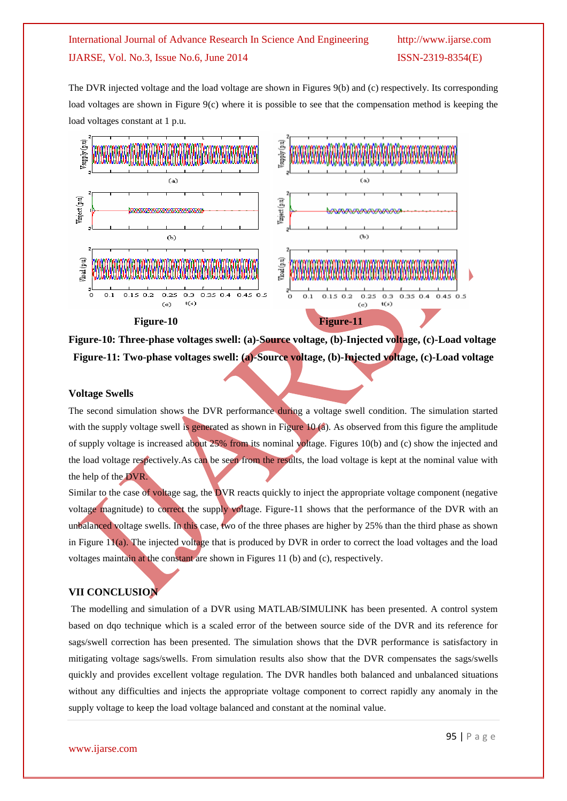The DVR injected voltage and the load voltage are shown in Figures 9(b) and (c) respectively. Its corresponding load voltages are shown in Figure 9(c) where it is possible to see that the compensation method is keeping the load voltages constant at 1 p.u.



**Figure-10: Three-phase voltages swell: (a)-Source voltage, (b)-Injected voltage, (c)-Load voltage Figure-11: Two-phase voltages swell: (a)-Source voltage, (b)-Injected voltage, (c)-Load voltage**

#### **Voltage Swells**

The second simulation shows the DVR performance during a voltage swell condition. The simulation started with the supply voltage swell is generated as shown in Figure 10 (a). As observed from this figure the amplitude of supply voltage is increased about 25% from its nominal voltage. Figures 10(b) and (c) show the injected and the load voltage respectively.As can be seen from the results, the load voltage is kept at the nominal value with the help of the DVR.

Similar to the case of voltage sag, the DVR reacts quickly to inject the appropriate voltage component (negative voltage magnitude) to correct the supply voltage. Figure-11 shows that the performance of the DVR with an unbalanced voltage swells. In this case, two of the three phases are higher by 25% than the third phase as shown in Figure 11(a). The injected voltage that is produced by DVR in order to correct the load voltages and the load voltages maintain at the constant are shown in Figures 11 (b) and (c), respectively.

### **VII CONCLUSION**

The modelling and simulation of a DVR using MATLAB/SIMULINK has been presented. A control system based on dqo technique which is a scaled error of the between source side of the DVR and its reference for sags/swell correction has been presented. The simulation shows that the DVR performance is satisfactory in mitigating voltage sags/swells. From simulation results also show that the DVR compensates the sags/swells quickly and provides excellent voltage regulation. The DVR handles both balanced and unbalanced situations without any difficulties and injects the appropriate voltage component to correct rapidly any anomaly in the supply voltage to keep the load voltage balanced and constant at the nominal value.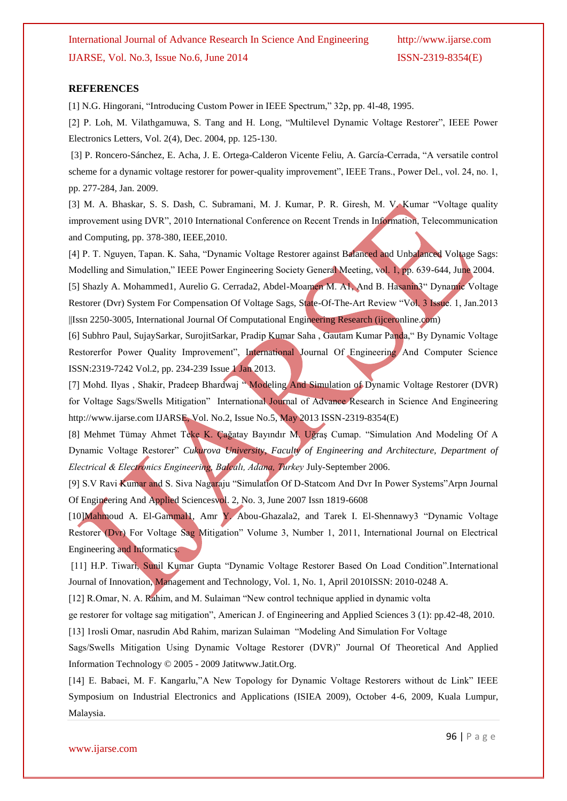#### **REFERENCES**

[1] N.G. Hingorani, "Introducing Custom Power in IEEE Spectrum," 32p, pp. 4l-48, 1995.

[2] P. Loh, M. Vilathgamuwa, S. Tang and H. Long, "Multilevel Dynamic Voltage Restorer", IEEE Power Electronics Letters, Vol. 2(4), Dec. 2004, pp. 125-130.

[3] P. Roncero-Sánchez, E. Acha, J. E. Ortega-Calderon Vicente Feliu, A. García-Cerrada, "A versatile control scheme for a dynamic voltage restorer for power-quality improvement", IEEE Trans., Power Del., vol. 24, no. 1, pp. 277-284, Jan. 2009.

[3] M. A. Bhaskar, S. S. Dash, C. Subramani, M. J. Kumar, P. R. Giresh, M. V. Kumar "Voltage quality improvement using DVR", 2010 International Conference on Recent Trends in Information, Telecommunication and Computing, pp. 378-380, IEEE,2010.

[4] P. T. Nguyen, Tapan. K. Saha, "Dynamic Voltage Restorer against Balanced and Unbalanced Voltage Sags: Modelling and Simulation," IEEE Power Engineering Society General Meeting, vol. 1, pp. 639-644, June 2004. [5] Shazly A. Mohammed1, Aurelio G. Cerrada2, Abdel-Moamen M. A1, And B. Hasanin3" Dynamic Voltage Restorer (Dvr) System For Compensation Of Voltage Sags, State-Of-The-Art Review "Vol. 3 Issue. 1, Jan.2013 ||Issn 2250-3005, International Journal Of Computational Engineering Research (ijceronline.com)

[6] Subhro Paul, SujaySarkar, SurojitSarkar, Pradip Kumar Saha , Gautam Kumar Panda," By Dynamic Voltage Restorerfor Power Quality Improvement", International Journal Of Engineering And Computer Science ISSN:2319-7242 Vol.2, pp. 234-239 Issue 1 Jan 2013.

[7] Mohd. Ilyas, Shakir, Pradeep Bhardwaj "Modeling And Simulation of Dynamic Voltage Restorer (DVR) for Voltage Sags/Swells Mitigation" International Journal of Advance Research in Science And Engineering http://www.ijarse.com IJARSE, Vol. No.2, Issue No.5, May 2013 ISSN-2319-8354(E)

[8] Mehmet Tümay Ahmet Teke K. Çağatay Bayındır M. Uğraş Cumap. "Simulation And Modeling Of A Dynamic Voltage Restorer" *Cukurova University, Faculty of Engineering and Architecture, Department of Electrical & Electronics Engineering, Balcalı, Adana, Turkey* July-September 2006.

[9] S.V Ravi Kumar and S. Siva Nagaraju "Simulation Of D-Statcom And Dvr In Power Systems"Arpn Journal Of Engineering And Applied Sciencesvol. 2, No. 3, June 2007 Issn 1819-6608

[10]Mahmoud A. El-Gammal1, Amr Y. Abou-Ghazala2, and Tarek I. El-Shennawy3 "Dynamic Voltage Restorer (Dvr) For Voltage Sag Mitigation" Volume 3, Number 1, 2011, International Journal on Electrical Engineering and Informatics.

[11] H.P. Tiwari, Sunil Kumar Gupta "Dynamic Voltage Restorer Based On Load Condition".International Journal of Innovation, Management and Technology, Vol. 1, No. 1, April 2010ISSN: 2010-0248 A.

[12] R.Omar, N. A. Rahim, and M. Sulaiman "New control technique applied in dynamic volta

ge restorer for voltage sag mitigation", American J. of Engineering and Applied Sciences 3 (1): pp.42-48, 2010. [13] 1rosli Omar, nasrudin Abd Rahim, marizan Sulaiman "Modeling And Simulation For Voltage

Sags/Swells Mitigation Using Dynamic Voltage Restorer (DVR)" Journal Of Theoretical And Applied Information Technology © 2005 - 2009 Jatitwww.Jatit.Org.

[14] E. Babaei, M. F. Kangarlu,"A New Topology for Dynamic Voltage Restorers without dc Link" IEEE Symposium on Industrial Electronics and Applications (ISIEA 2009), October 4-6, 2009, Kuala Lumpur, Malaysia.